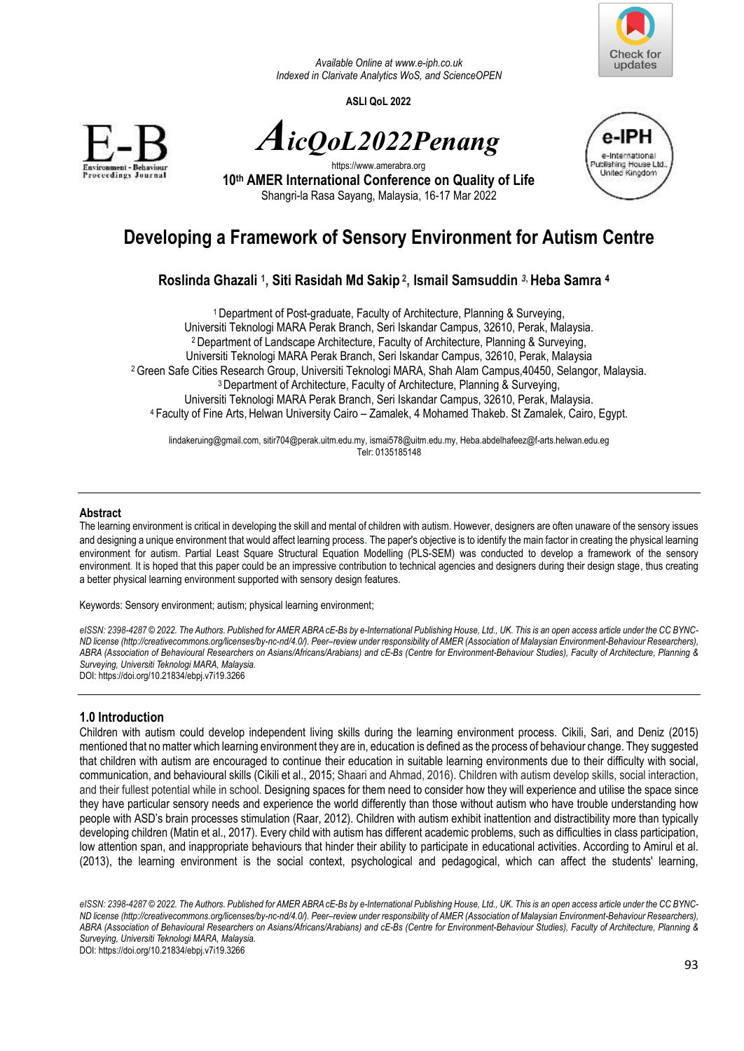

*Available Online a[t www.e-iph.co.uk](http://www.e-iph.co.uk/)  Indexed in Clarivate Analytics WoS, and ScienceOPEN* 

**ASLI QoL 2022** 





https://www.amerabra.org **10th AMER International Conference on Quality of Life** Shangri-la Rasa Sayang, Malaysia, 16-17 Mar 2022



# **Developing a Framework of Sensory Environment for Autism Centre**

## **Roslinda Ghazali <sup>1</sup> , Siti Rasidah Md Sakip<sup>2</sup> , Ismail Samsuddin** *3***, Heba Samra <sup>4</sup>**

Department of Post-graduate, Faculty of Architecture, Planning & Surveying, Universiti Teknologi MARA Perak Branch, Seri Iskandar Campus, 32610, Perak, Malaysia. Department of Landscape Architecture, Faculty of Architecture, Planning & Surveying, Universiti Teknologi MARA Perak Branch, Seri Iskandar Campus, 32610, Perak, Malaysia Green Safe Cities Research Group, Universiti Teknologi MARA, Shah Alam Campus,40450, Selangor, Malaysia. Department of Architecture, Faculty of Architecture, Planning & Surveying, Universiti Teknologi MARA Perak Branch, Seri Iskandar Campus, 32610, Perak, Malaysia. Faculty of Fine Arts,Helwan University Cairo – Zamalek, 4 Mohamed Thakeb. St Zamalek, Cairo, Egypt.

lindakeruing@gmail.com[, sitir704@perak.uitm.edu.my,](mailto:sitir704@perak.uitm.edu.my) [ismai578@uitm.edu.my,](mailto:ismai578@uitm.edu.my) Heba.abdelhafeez@f-arts.helwan.edu.eg Telr: 0135185148

#### **Abstract**

The learning environment is critical in developing the skill and mental of children with autism. However, designers are often unaware of the sensory issues and designing a unique environment that would affect learning process. The paper's objective is to identify the main factor in creating the physical learning environment for autism. Partial Least Square Structural Equation Modelling (PLS-SEM) was conducted to develop a framework of the sensory environment. It is hoped that this paper could be an impressive contribution to technical agencies and designers during their design stage, thus creating a better physical learning environment supported with sensory design features.

Keywords: Sensory environment; autism; physical learning environment;

*eISSN: 2398-4287 © 2022. The Authors. Published for AMER ABRA cE-Bs by e-International Publishing House, Ltd., UK. This is an open access article under the CC BYNC-ND license (http://creativecommons.org/licenses/by-nc-nd/4.0/). Peer–review under responsibility of AMER (Association of Malaysian Environment-Behaviour Researchers), ABRA (Association of Behavioural Researchers on Asians/Africans/Arabians) and cE-Bs (Centre for Environment-Behaviour Studies), Faculty of Architecture, Planning & Surveying, Universiti Teknologi MARA, Malaysia.*  DOI: https://doi.org/10.21834/ebpj.v7i19.3266

**1.0 Introduction** 

Children with autism could develop independent living skills during the learning environment process. Cikili, Sari, and Deniz (2015) mentioned that no matter which learning environment they are in, education is defined as the process of behaviour change. They suggested that children with autism are encouraged to continue their education in suitable learning environments due to their difficulty with social, communication, and behavioural skills (Cikili et al., 2015; Shaari and Ahmad, 2016). Children with autism develop skills, social interaction, and their fullest potential while in school. Designing spaces for them need to consider how they will experience and utilise the space since they have particular sensory needs and experience the world differently than those without autism who have trouble understanding how people with ASD's brain processes stimulation (Raar, 2012). Children with autism exhibit inattention and distractibility more than typically developing children (Matin et al., 2017). Every child with autism has different academic problems, such as difficulties in class participation, low attention span, and inappropriate behaviours that hinder their ability to participate in educational activities. According to Amirul et al. (2013), the learning environment is the social context, psychological and pedagogical, which can affect the students' learning,

*eISSN: 2398-4287 © 2022. The Authors. Published for AMER ABRA cE-Bs by e-International Publishing House, Ltd., UK. This is an open access article under the CC BYNC-ND license (http://creativecommons.org/licenses/by-nc-nd/4.0/). Peer–review under responsibility of AMER (Association of Malaysian Environment-Behaviour Researchers), ABRA (Association of Behavioural Researchers on Asians/Africans/Arabians) and cE-Bs (Centre for Environment-Behaviour Studies), Faculty of Architecture, Planning & Surveying, Universiti Teknologi MARA, Malaysia.* 

DOI: https://doi.org/10.21834/ebpj.v7i19.3266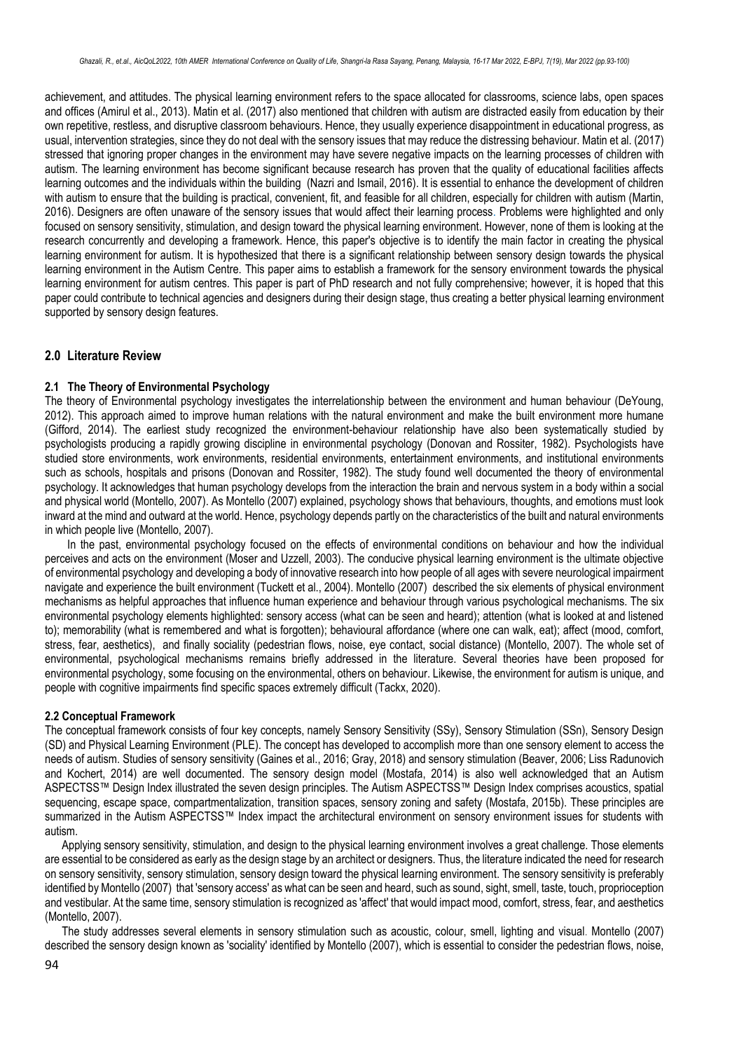achievement, and attitudes. The physical learning environment refers to the space allocated for classrooms, science labs, open spaces and offices (Amirul et al., 2013). Matin et al. (2017) also mentioned that children with autism are distracted easily from education by their own repetitive, restless, and disruptive classroom behaviours. Hence, they usually experience disappointment in educational progress, as usual, intervention strategies, since they do not deal with the sensory issues that may reduce the distressing behaviour. Matin et al. (2017) stressed that ignoring proper changes in the environment may have severe negative impacts on the learning processes of children with autism. The learning environment has become significant because research has proven that the quality of educational facilities affects learning outcomes and the individuals within the building (Nazri and Ismail, 2016). It is essential to enhance the development of children with autism to ensure that the building is practical, convenient, fit, and feasible for all children, especially for children with autism (Martin, 2016). Designers are often unaware of the sensory issues that would affect their learning process. Problems were highlighted and only focused on sensory sensitivity, stimulation, and design toward the physical learning environment. However, none of them is looking at the research concurrently and developing a framework. Hence, this paper's objective is to identify the main factor in creating the physical learning environment for autism. It is hypothesized that there is a significant relationship between sensory design towards the physical learning environment in the Autism Centre. This paper aims to establish a framework for the sensory environment towards the physical learning environment for autism centres. This paper is part of PhD research and not fully comprehensive; however, it is hoped that this paper could contribute to technical agencies and designers during their design stage, thus creating a better physical learning environment supported by sensory design features.

## **2.0 Literature Review**

#### **2.1 The Theory of Environmental Psychology**

The theory of Environmental psychology investigates the interrelationship between the environment and human behaviour (DeYoung, 2012). This approach aimed to improve human relations with the natural environment and make the built environment more humane (Gifford, 2014). The earliest study recognized the environment-behaviour relationship have also been systematically studied by psychologists producing a rapidly growing discipline in environmental psychology (Donovan and Rossiter, 1982). Psychologists have studied store environments, work environments, residential environments, entertainment environments, and institutional environments such as schools, hospitals and prisons (Donovan and Rossiter, 1982). The study found well documented the theory of environmental psychology. It acknowledges that human psychology develops from the interaction the brain and nervous system in a body within a social and physical world (Montello, 2007). As Montello (2007) explained, psychology shows that behaviours, thoughts, and emotions must look inward at the mind and outward at the world. Hence, psychology depends partly on the characteristics of the built and natural environments in which people live (Montello, 2007).

In the past, environmental psychology focused on the effects of environmental conditions on behaviour and how the individual perceives and acts on the environment (Moser and Uzzell, 2003). The conducive physical learning environment is the ultimate objective of environmental psychology and developing a body of innovative research into how people of all ages with severe neurological impairment navigate and experience the built environment (Tuckett et al., 2004). Montello (2007) described the six elements of physical environment mechanisms as helpful approaches that influence human experience and behaviour through various psychological mechanisms. The six environmental psychology elements highlighted: sensory access (what can be seen and heard); attention (what is looked at and listened to); memorability (what is remembered and what is forgotten); behavioural affordance (where one can walk, eat); affect (mood, comfort, stress, fear, aesthetics), and finally sociality (pedestrian flows, noise, eye contact, social distance) (Montello, 2007). The whole set of environmental, psychological mechanisms remains briefly addressed in the literature. Several theories have been proposed for environmental psychology, some focusing on the environmental, others on behaviour. Likewise, the environment for autism is unique, and people with cognitive impairments find specific spaces extremely difficult (Tackx, 2020).

#### **2.2 Conceptual Framework**

The conceptual framework consists of four key concepts, namely Sensory Sensitivity (SSy), Sensory Stimulation (SSn), Sensory Design (SD) and Physical Learning Environment (PLE). The concept has developed to accomplish more than one sensory element to access the needs of autism. Studies of sensory sensitivity (Gaines et al., 2016; Gray, 2018) and sensory stimulation (Beaver, 2006; Liss Radunovich and Kochert, 2014) are well documented. The sensory design model (Mostafa, 2014) is also well acknowledged that an Autism ASPECTSS™ Design Index illustrated the seven design principles. The Autism ASPECTSS™ Design Index comprises acoustics, spatial sequencing, escape space, compartmentalization, transition spaces, sensory zoning and safety (Mostafa, 2015b). These principles are summarized in the Autism ASPECTSS™ Index impact the architectural environment on sensory environment issues for students with autism.

Applying sensory sensitivity, stimulation, and design to the physical learning environment involves a great challenge. Those elements are essential to be considered as early as the design stage by an architect or designers. Thus, the literature indicated the need for research on sensory sensitivity, sensory stimulation, sensory design toward the physical learning environment. The sensory sensitivity is preferably identified by Montello (2007) that 'sensory access' as what can be seen and heard, such as sound, sight, smell, taste, touch, proprioception and vestibular. At the same time, sensory stimulation is recognized as 'affect' that would impact mood, comfort, stress, fear, and aesthetics (Montello, 2007).

The study addresses several elements in sensory stimulation such as acoustic, colour, smell, lighting and visual. Montello (2007) described the sensory design known as 'sociality' identified by Montello (2007), which is essential to consider the pedestrian flows, noise,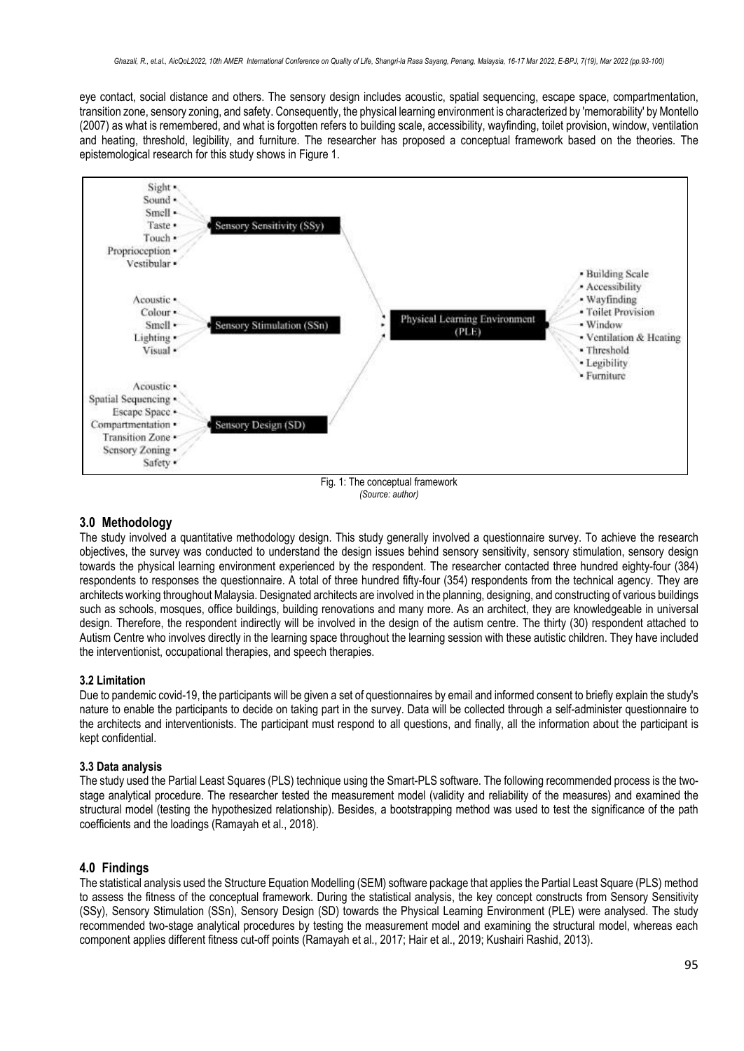eye contact, social distance and others. The sensory design includes acoustic, spatial sequencing, escape space, compartmentation, transition zone, sensory zoning, and safety. Consequently, the physical learning environment is characterized by 'memorability' by Montello (2007) as what is remembered, and what is forgotten refers to building scale, accessibility, wayfinding, toilet provision, window, ventilation and heating, threshold, legibility, and furniture. The researcher has proposed a conceptual framework based on the theories. The epistemological research for this study shows in Figure 1.



*(Source: author)*

## **3.0 Methodology**

The study involved a quantitative methodology design. This study generally involved a questionnaire survey. To achieve the research objectives, the survey was conducted to understand the design issues behind sensory sensitivity, sensory stimulation, sensory design towards the physical learning environment experienced by the respondent. The researcher contacted three hundred eighty-four (384) respondents to responses the questionnaire. A total of three hundred fifty-four (354) respondents from the technical agency. They are architects working throughout Malaysia. Designated architects are involved in the planning, designing, and constructing of various buildings such as schools, mosques, office buildings, building renovations and many more. As an architect, they are knowledgeable in universal design. Therefore, the respondent indirectly will be involved in the design of the autism centre. The thirty (30) respondent attached to Autism Centre who involves directly in the learning space throughout the learning session with these autistic children. They have included the interventionist, occupational therapies, and speech therapies.

## **3.2 Limitation**

Due to pandemic covid-19, the participants will be given a set of questionnaires by email and informed consent to briefly explain the study's nature to enable the participants to decide on taking part in the survey. Data will be collected through a self-administer questionnaire to the architects and interventionists. The participant must respond to all questions, and finally, all the information about the participant is kept confidential.

#### **3.3 Data analysis**

The study used the Partial Least Squares (PLS) technique using the Smart-PLS software. The following recommended process is the twostage analytical procedure. The researcher tested the measurement model (validity and reliability of the measures) and examined the structural model (testing the hypothesized relationship). Besides, a bootstrapping method was used to test the significance of the path coefficients and the loadings (Ramayah et al., 2018).

## **4.0 Findings**

The statistical analysis used the Structure Equation Modelling (SEM) software package that applies the Partial Least Square (PLS) method to assess the fitness of the conceptual framework. During the statistical analysis, the key concept constructs from Sensory Sensitivity (SSy), Sensory Stimulation (SSn), Sensory Design (SD) towards the Physical Learning Environment (PLE) were analysed. The study recommended two-stage analytical procedures by testing the measurement model and examining the structural model, whereas each component applies different fitness cut-off points (Ramayah et al., 2017; Hair et al., 2019; Kushairi Rashid, 2013).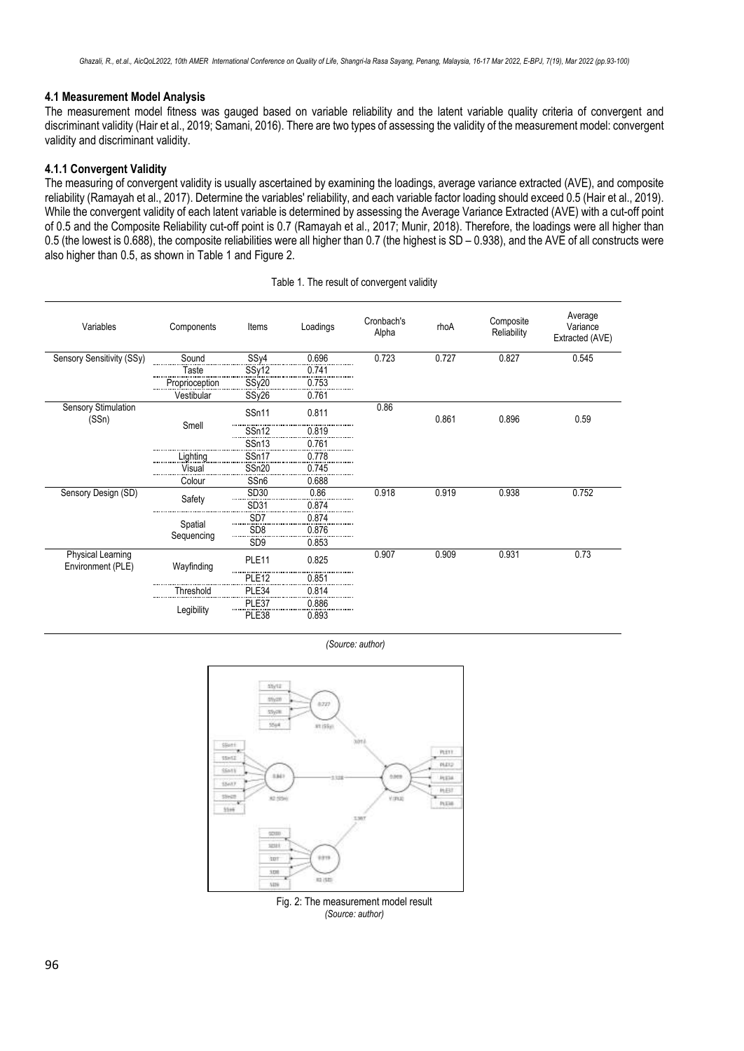#### **4.1 Measurement Model Analysis**

The measurement model fitness was gauged based on variable reliability and the latent variable quality criteria of convergent and discriminant validity (Hair et al., 2019; Samani, 2016). There are two types of assessing the validity of the measurement model: convergent validity and discriminant validity.

#### **4.1.1 Convergent Validity**

The measuring of convergent validity is usually ascertained by examining the loadings, average variance extracted (AVE), and composite reliability (Ramayah et al., 2017). Determine the variables' reliability, and each variable factor loading should exceed 0.5 (Hair et al., 2019). While the convergent validity of each latent variable is determined by assessing the Average Variance Extracted (AVE) with a cut-off point of 0.5 and the Composite Reliability cut-off point is 0.7 (Ramayah et al., 2017; Munir, 2018). Therefore, the loadings were all higher than 0.5 (the lowest is 0.688), the composite reliabilities were all higher than 0.7 (the highest is SD – 0.938), and the AVE of all constructs were also higher than 0.5, as shown in Table 1 and Figure 2.

| Variables                                     | Components            | Items               | Loadings | Cronbach's<br>Alpha | rhoA  | Composite<br>Reliability | Average<br>Variance<br>Extracted (AVE) |  |
|-----------------------------------------------|-----------------------|---------------------|----------|---------------------|-------|--------------------------|----------------------------------------|--|
| Sensory Sensitivity (SSy)                     | Sound                 | SSy4                | 0.696    | 0.723               | 0.727 | 0.827                    | 0.545                                  |  |
|                                               | Taste<br>             | SSy12               | 0.741    |                     |       |                          |                                        |  |
|                                               | Proprioception<br>    | SSy20               | 0.753    |                     |       |                          |                                        |  |
|                                               | Vestibular            | SSy26               | 0.761    |                     |       |                          |                                        |  |
| <b>Sensory Stimulation</b><br>(SSn)           |                       | SSn11               | 0.811    | 0.86                | 0.861 | 0.896                    | 0.59                                   |  |
|                                               | Smell                 | SSn12               | 0.819    |                     |       |                          |                                        |  |
|                                               |                       | SSn13               | 0.761    |                     |       |                          |                                        |  |
|                                               | .ighting              | SSn17               | 0.778    |                     |       |                          |                                        |  |
|                                               | Visual                | SSn20               | 0.745    |                     |       |                          |                                        |  |
|                                               | Colour                | SS <sub>n6</sub>    | 0.688    |                     |       |                          |                                        |  |
| Sensory Design (SD)                           | Safety                | SD30                | 0.86     | 0.918               | 0.919 | 0.938                    | 0.752                                  |  |
|                                               |                       | SD31                | 0.874    |                     |       |                          |                                        |  |
|                                               | Spatial<br>Sequencing | SD <sub>7</sub><br> | 0.874    |                     |       |                          |                                        |  |
|                                               |                       | SD <sub>8</sub><br> | 0.876    |                     |       |                          |                                        |  |
|                                               |                       | SD <sub>9</sub>     | 0.853    |                     |       |                          |                                        |  |
| <b>Physical Learning</b><br>Environment (PLE) | Wayfinding            | PLE <sub>11</sub>   | 0.825    | 0.907               | 0.909 | 0.931                    | 0.73                                   |  |
|                                               |                       | PLE <sub>12</sub>   | 0.851    |                     |       |                          |                                        |  |
|                                               | Threshold             | PLE34               | 0.814    |                     |       |                          |                                        |  |
|                                               | Legibility            | PLE37               | 0.886    |                     |       |                          |                                        |  |
|                                               |                       | PLE38               | 0.893    |                     |       |                          |                                        |  |

Table 1. The result of convergent validity

*(Source: author)*



Fig. 2: The measurement model result *(Source: author)*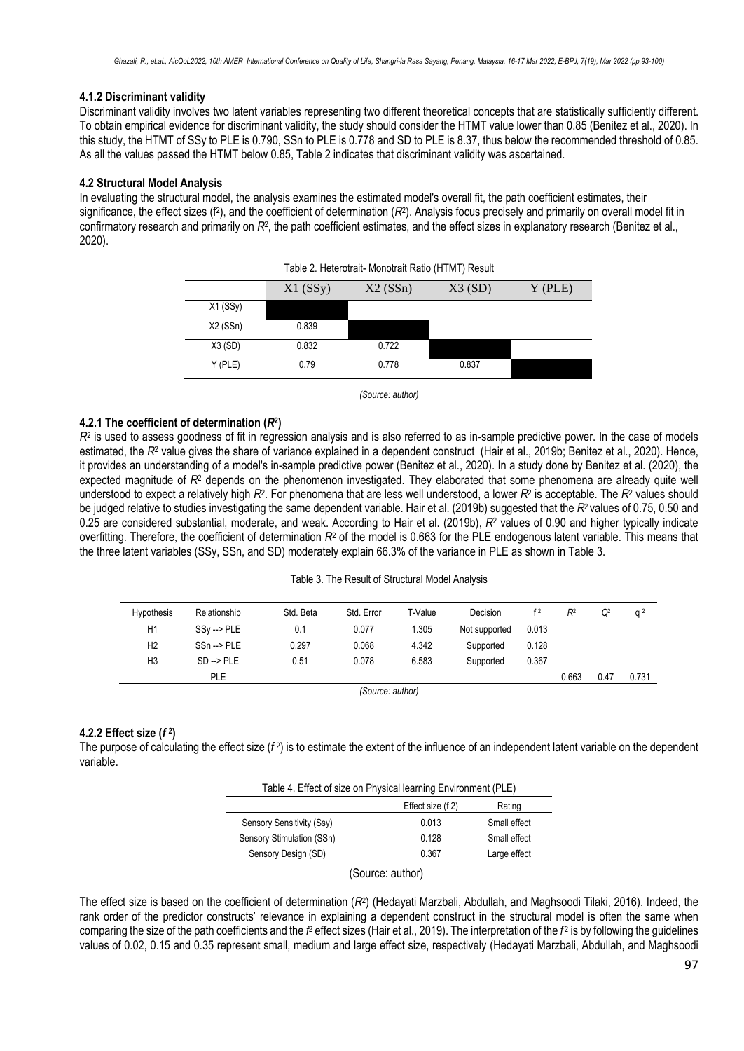## **4.1.2 Discriminant validity**

Discriminant validity involves two latent variables representing two different theoretical concepts that are statistically sufficiently different. To obtain empirical evidence for discriminant validity, the study should consider the HTMT value lower than 0.85 (Benitez et al., 2020). In this study, the HTMT of SSy to PLE is 0.790, SSn to PLE is 0.778 and SD to PLE is 8.37, thus below the recommended threshold of 0.85. As all the values passed the HTMT below 0.85, Table 2 indicates that discriminant validity was ascertained.

## **4.2 Structural Model Analysis**

In evaluating the structural model, the analysis examines the estimated model's overall fit, the path coefficient estimates, their significance, the effect sizes (f<sup>2</sup>), and the coefficient of determination (R<sup>2</sup>). Analysis focus precisely and primarily on overall model fit in confirmatory research and primarily on R<sup>2</sup>, the path coefficient estimates, and the effect sizes in explanatory research (Benitez et al., 2020).

| Table 2. Heterotrait-Monotrait Ratio (HTMT) Result |            |        |           |  |  |  |
|----------------------------------------------------|------------|--------|-----------|--|--|--|
|                                                    | $X1$ (SSy) | X3(SD) | $Y$ (PLE) |  |  |  |
| $X1$ (SSy)                                         |            |        |           |  |  |  |
| $X2$ (SSn)                                         | 0.839      |        |           |  |  |  |
| X3(SD)                                             | 0.832      | 0.722  |           |  |  |  |
| Y (PLE)                                            | 0.79       | 0.778  | 0.837     |  |  |  |

*(Source: author)*

## **4.2.1 The coefficient of determination (***R***<sup>2</sup> )**

 $R<sup>2</sup>$  is used to assess goodness of fit in regression analysis and is also referred to as in-sample predictive power. In the case of models estimated, the R<sup>2</sup> value gives the share of variance explained in a dependent construct (Hair et al., 2019b; Benitez et al., 2020). Hence, it provides an understanding of a model's in-sample predictive power (Benitez et al., 2020). In a study done by Benitez et al. (2020), the expected magnitude of *R*<sup>2</sup> depends on the phenomenon investigated. They elaborated that some phenomena are already quite well understood to expect a relatively high  $R^2$ . For phenomena that are less well understood, a lower  $R^2$  is acceptable. The  $R^2$  values should be judged relative to studies investigating the same dependent variable. Hair et al. (2019b) suggested that the  $R<sup>2</sup>$  values of 0.75, 0.50 and 0.25 are considered substantial, moderate, and weak. According to Hair et al. (2019b), *R*<sup>2</sup> values of 0.90 and higher typically indicate overfitting. Therefore, the coefficient of determination *R*<sup>2</sup> of the model is 0.663 for the PLE endogenous latent variable. This means that the three latent variables (SSy, SSn, and SD) moderately explain 66.3% of the variance in PLE as shown in Table 3.

#### Table 3. The Result of Structural Model Analysis

| <b>Hypothesis</b> | Relationship          | Std. Beta | Std. Error | T-Value | Decision      | f <sub>2</sub> | R <sup>2</sup> | Q <sup>2</sup> | a <sup>2</sup> |
|-------------------|-----------------------|-----------|------------|---------|---------------|----------------|----------------|----------------|----------------|
| H1                | $SSv \rightarrow PLE$ | 0.1       | 0.077      | 1.305   | Not supported | 0.013          |                |                |                |
| H <sub>2</sub>    | $SSn \rightarrow PLE$ | 0.297     | 0.068      | 4.342   | Supported     | 0.128          |                |                |                |
| H <sub>3</sub>    | $SD \rightarrow PLE$  | 0.51      | 0.078      | 6.583   | Supported     | 0.367          |                |                |                |
|                   | <b>PLE</b>            |           |            |         |               |                | 0.663          | 0.47           | 0.731          |
|                   |                       |           | $\sim$     |         |               |                |                |                |                |

*(Source: author)*

## **4.2.2 Effect size (***f* **<sup>2</sup> )**

The purpose of calculating the effect size (*f*<sup>2</sup>) is to estimate the extent of the influence of an independent latent variable on the dependent variable.

| Table 4. Effect of size on Physical learning Environment (PLE) |       |              |  |  |  |  |
|----------------------------------------------------------------|-------|--------------|--|--|--|--|
| Effect size (f 2)<br>Rating                                    |       |              |  |  |  |  |
| Sensory Sensitivity (Ssy)                                      | 0.013 | Small effect |  |  |  |  |
| Sensory Stimulation (SSn)                                      | 0.128 | Small effect |  |  |  |  |
| Sensory Design (SD)                                            | 0.367 | Large effect |  |  |  |  |
|                                                                |       |              |  |  |  |  |

(Source: author)

The effect size is based on the coefficient of determination (*R*<sup>2</sup> ) (Hedayati Marzbali, Abdullah, and Maghsoodi Tilaki, 2016). Indeed, the rank order of the predictor constructs' relevance in explaining a dependent construct in the structural model is often the same when comparing the size of the path coefficients and the *f*<sup>2</sup> effect sizes (Hair et al., 2019). The interpretation of the *f*<sup>2</sup> is by following the guidelines values of 0.02, 0.15 and 0.35 represent small, medium and large effect size, respectively (Hedayati Marzbali, Abdullah, and Maghsoodi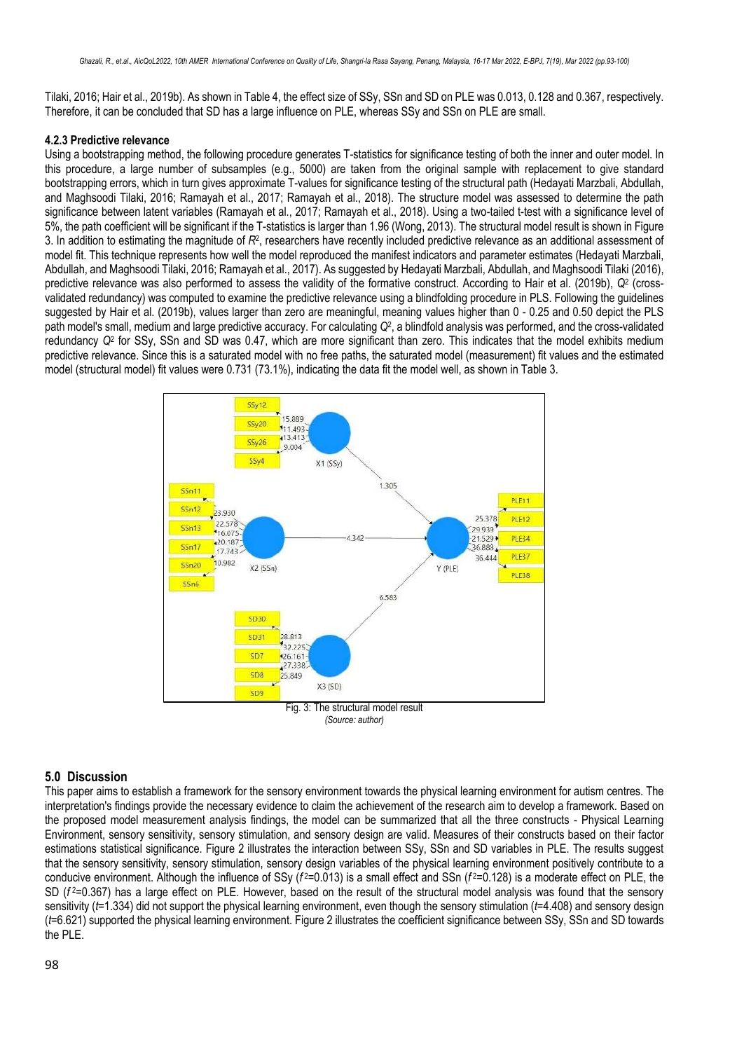Tilaki, 2016; Hair et al., 2019b). As shown in Table 4, the effect size of SSy, SSn and SD on PLE was 0.013, 0.128 and 0.367, respectively. Therefore, it can be concluded that SD has a large influence on PLE, whereas SSy and SSn on PLE are small.

## **4.2.3 Predictive relevance**

Using a bootstrapping method, the following procedure generates T-statistics for significance testing of both the inner and outer model. In this procedure, a large number of subsamples (e.g., 5000) are taken from the original sample with replacement to give standard bootstrapping errors, which in turn gives approximate T-values for significance testing of the structural path (Hedayati Marzbali, Abdullah, and Maghsoodi Tilaki, 2016; Ramayah et al., 2017; Ramayah et al., 2018). The structure model was assessed to determine the path significance between latent variables (Ramayah et al., 2017; Ramayah et al., 2018). Using a two-tailed t-test with a significance level of 5%, the path coefficient will be significant if the T-statistics is larger than 1.96 (Wong, 2013). The structural model result is shown in Figure 3. In addition to estimating the magnitude of  $R^2$ , researchers have recently included predictive relevance as an additional assessment of model fit. This technique represents how well the model reproduced the manifest indicators and parameter estimates (Hedayati Marzbali, Abdullah, and Maghsoodi Tilaki, 2016; Ramayah et al., 2017). As suggested by Hedayati Marzbali, Abdullah, and Maghsoodi Tilaki (2016), predictive relevance was also performed to assess the validity of the formative construct. According to Hair et al. (2019b),  $Q^2$  (crossvalidated redundancy) was computed to examine the predictive relevance using a blindfolding procedure in PLS. Following the guidelines suggested by Hair et al. (2019b), values larger than zero are meaningful, meaning values higher than 0 - 0.25 and 0.50 depict the PLS path model's small, medium and large predictive accuracy. For calculating *Q*<sup>2</sup> , a blindfold analysis was performed, and the cross-validated redundancy *Q*<sup>2</sup> for SSy, SSn and SD was 0.47, which are more significant than zero. This indicates that the model exhibits medium predictive relevance. Since this is a saturated model with no free paths, the saturated model (measurement) fit values and the estimated model (structural model) fit values were 0.731 (73.1%), indicating the data fit the model well, as shown in Table 3.



## **5.0 Discussion**

This paper aims to establish a framework for the sensory environment towards the physical learning environment for autism centres. The interpretation's findings provide the necessary evidence to claim the achievement of the research aim to develop a framework. Based on the proposed model measurement analysis findings, the model can be summarized that all the three constructs - Physical Learning Environment, sensory sensitivity, sensory stimulation, and sensory design are valid. Measures of their constructs based on their factor estimations statistical significance. Figure 2 illustrates the interaction between SSy, SSn and SD variables in PLE. The results suggest that the sensory sensitivity, sensory stimulation, sensory design variables of the physical learning environment positively contribute to a conducive environment. Although the influence of SSy ( $f^2$ =0.013) is a small effect and SSn ( $f^2$ =0.128) is a moderate effect on PLE, the SD ( $f^2$ =0.367) has a large effect on PLE. However, based on the result of the structural model analysis was found that the sensory sensitivity (*t*=1.334) did not support the physical learning environment, even though the sensory stimulation (*t*=4.408) and sensory design (*t*=6.621) supported the physical learning environment. Figure 2 illustrates the coefficient significance between SSy, SSn and SD towards the PLE.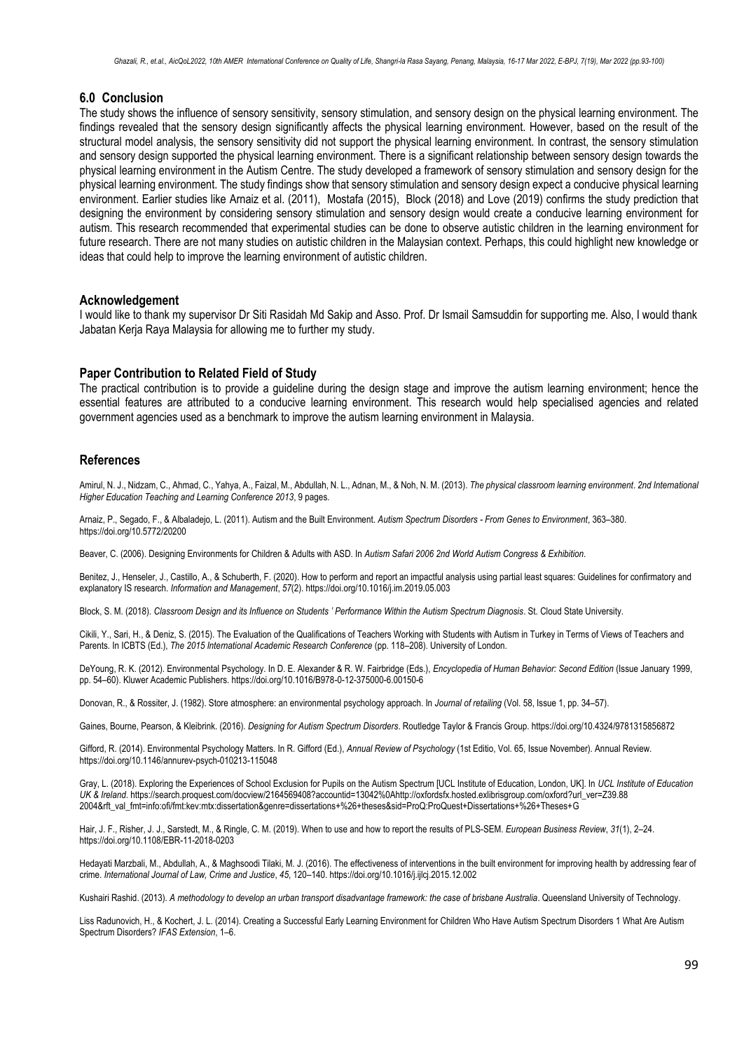### **6.0 Conclusion**

The study shows the influence of sensory sensitivity, sensory stimulation, and sensory design on the physical learning environment. The findings revealed that the sensory design significantly affects the physical learning environment. However, based on the result of the structural model analysis, the sensory sensitivity did not support the physical learning environment. In contrast, the sensory stimulation and sensory design supported the physical learning environment. There is a significant relationship between sensory design towards the physical learning environment in the Autism Centre. The study developed a framework of sensory stimulation and sensory design for the physical learning environment. The study findings show that sensory stimulation and sensory design expect a conducive physical learning environment. Earlier studies like Arnaiz et al. (2011), Mostafa (2015), Block (2018) and Love (2019) confirms the study prediction that designing the environment by considering sensory stimulation and sensory design would create a conducive learning environment for autism. This research recommended that experimental studies can be done to observe autistic children in the learning environment for future research. There are not many studies on autistic children in the Malaysian context. Perhaps, this could highlight new knowledge or ideas that could help to improve the learning environment of autistic children.

#### **Acknowledgement**

I would like to thank my supervisor Dr Siti Rasidah Md Sakip and Asso. Prof. Dr Ismail Samsuddin for supporting me. Also, I would thank Jabatan Kerja Raya Malaysia for allowing me to further my study.

#### **Paper Contribution to Related Field of Study**

The practical contribution is to provide a guideline during the design stage and improve the autism learning environment; hence the essential features are attributed to a conducive learning environment. This research would help specialised agencies and related government agencies used as a benchmark to improve the autism learning environment in Malaysia.

#### **References**

Amirul, N. J., Nidzam, C., Ahmad, C., Yahya, A., Faizal, M., Abdullah, N. L., Adnan, M., & Noh, N. M. (2013). *The physical classroom learning environment*. *2nd International Higher Education Teaching and Learning Conference 2013*, 9 pages.

Arnaiz, P., Segado, F., & Albaladejo, L. (2011). Autism and the Built Environment. *Autism Spectrum Disorders - From Genes to Environment*, 363–380. https://doi.org/10.5772/20200

Beaver, C. (2006). Designing Environments for Children & Adults with ASD. In *Autism Safari 2006 2nd World Autism Congress & Exhibition*.

Benitez, J., Henseler, J., Castillo, A., & Schuberth, F. (2020). How to perform and report an impactful analysis using partial least squares: Guidelines for confirmatory and explanatory IS research. *Information and Management*, *57*(2). https://doi.org/10.1016/j.im.2019.05.003

Block, S. M. (2018). *Classroom Design and its Influence on Students ' Performance Within the Autism Spectrum Diagnosis*. St. Cloud State University.

Cikili, Y., Sari, H., & Deniz, S. (2015). The Evaluation of the Qualifications of Teachers Working with Students with Autism in Turkey in Terms of Views of Teachers and Parents. In ICBTS (Ed.), *The 2015 International Academic Research Conference* (pp. 118–208). University of London.

DeYoung, R. K. (2012). Environmental Psychology. In D. E. Alexander & R. W. Fairbridge (Eds.), *Encyclopedia of Human Behavior: Second Edition* (Issue January 1999, pp. 54–60). Kluwer Academic Publishers. https://doi.org/10.1016/B978-0-12-375000-6.00150-6

Donovan, R., & Rossiter, J. (1982). Store atmosphere: an environmental psychology approach. In *Journal of retailing* (Vol. 58, Issue 1, pp. 34–57).

Gaines, Bourne, Pearson, & Kleibrink. (2016). *Designing for Autism Spectrum Disorders*. Routledge Taylor & Francis Group. https://doi.org/10.4324/9781315856872

Gifford, R. (2014). Environmental Psychology Matters. In R. Gifford (Ed.), *Annual Review of Psychology* (1st Editio, Vol. 65, Issue November). Annual Review. https://doi.org/10.1146/annurev-psych-010213-115048

Gray, L. (2018). Exploring the Experiences of School Exclusion for Pupils on the Autism Spectrum [UCL Institute of Education, London, UK]. In *UCL Institute of Education UK & Ireland*. https://search.proquest.com/docview/2164569408?accountid=13042%0Ahttp://oxfordsfx.hosted.exlibrisgroup.com/oxford?url\_ver=Z39.88 2004&rft\_val\_fmt=info:ofi/fmt:kev:mtx:dissertation&genre=dissertations+%26+theses&sid=ProQ:ProQuest+Dissertations+%26+Theses+G

Hair, J. F., Risher, J. J., Sarstedt, M., & Ringle, C. M. (2019). When to use and how to report the results of PLS-SEM. *European Business Review*, *31*(1), 2–24. https://doi.org/10.1108/EBR-11-2018-0203

Hedayati Marzbali, M., Abdullah, A., & Maghsoodi Tilaki, M. J. (2016). The effectiveness of interventions in the built environment for improving health by addressing fear of crime. *International Journal of Law, Crime and Justice*, *45*, 120–140. https://doi.org/10.1016/j.ijlcj.2015.12.002

Kushairi Rashid. (2013). *A methodology to develop an urban transport disadvantage framework: the case of brisbane Australia*. Queensland University of Technology.

Liss Radunovich, H., & Kochert, J. L. (2014). Creating a Successful Early Learning Environment for Children Who Have Autism Spectrum Disorders 1 What Are Autism Spectrum Disorders? *IFAS Extension*, 1–6.